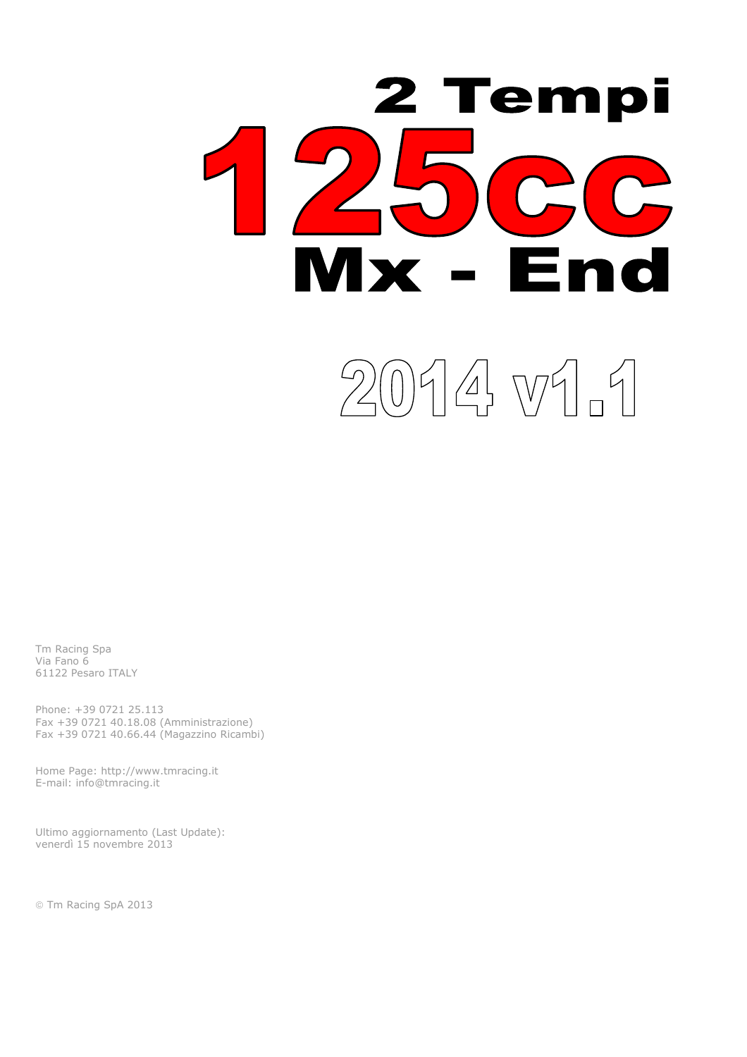

Tm Racing Spa Via Fano 6 61122 Pesaro ITALY

Phone: +39 0721 25.113 Fax +39 0721 40.18.08 (Amministrazione) Fax +39 0721 40.66.44 (Magazzino Ricambi)

Home Page: http://www.tmracing.it E-mail: info@tmracing.it

Ultimo aggiornamento (Last Update): venerdì 15 novembre 2013

© Tm Racing SpA 2013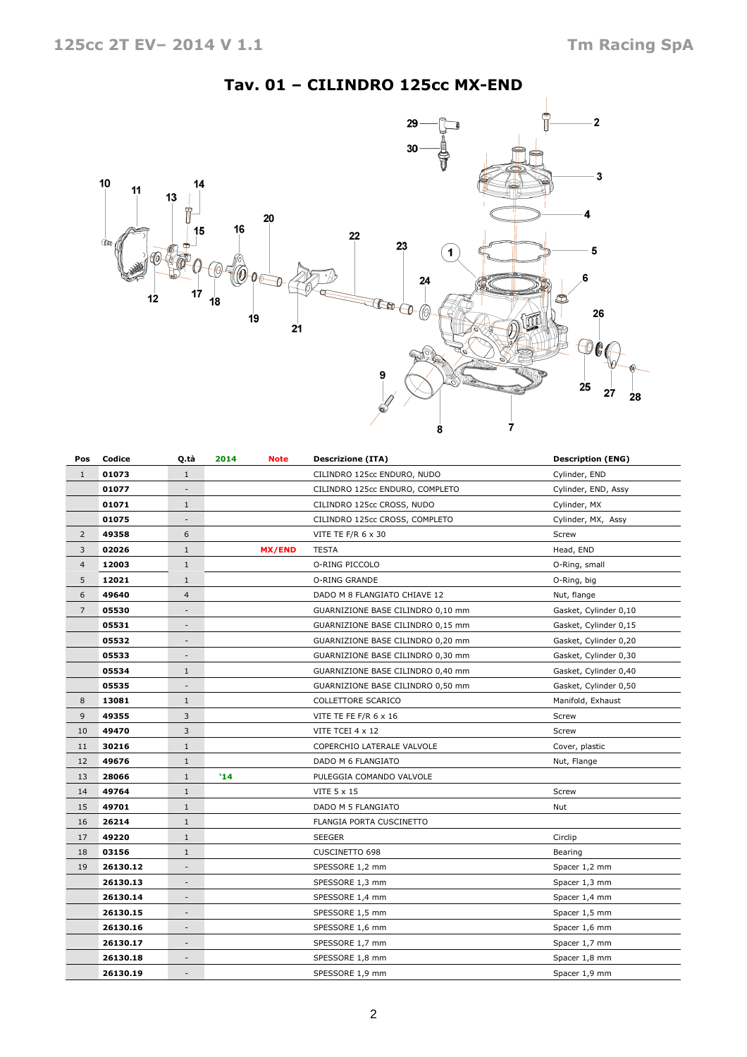## Tav. 01 – CILINDRO 125cc MX-END



| Pos            | Codice   | Q.tà                     | 2014<br><b>Note</b> | <b>Descrizione (ITA)</b>          | <b>Description (ENG)</b> |
|----------------|----------|--------------------------|---------------------|-----------------------------------|--------------------------|
| $\mathbf{1}$   | 01073    | $1\,$                    |                     | CILINDRO 125cc ENDURO, NUDO       | Cylinder, END            |
|                | 01077    |                          |                     | CILINDRO 125cc ENDURO, COMPLETO   | Cylinder, END, Assy      |
|                | 01071    | $\mathbf{1}$             |                     | CILINDRO 125cc CROSS, NUDO        | Cylinder, MX             |
|                | 01075    | $\overline{\phantom{a}}$ |                     | CILINDRO 125cc CROSS, COMPLETO    | Cylinder, MX, Assy       |
| $\overline{2}$ | 49358    | 6                        |                     | VITE TE F/R 6 x 30                | Screw                    |
| 3              | 02026    | $1\,$                    | <b>MX/END</b>       | <b>TESTA</b>                      | Head, END                |
| $\overline{4}$ | 12003    | $\mathbf{1}$             |                     | O-RING PICCOLO                    | O-Ring, small            |
| 5              | 12021    | $\mathbf{1}$             |                     | O-RING GRANDE                     | O-Ring, big              |
| 6              | 49640    | 4                        |                     | DADO M 8 FLANGIATO CHIAVE 12      | Nut, flange              |
| $\overline{7}$ | 05530    | $\overline{\phantom{a}}$ |                     | GUARNIZIONE BASE CILINDRO 0,10 mm | Gasket, Cylinder 0,10    |
|                | 05531    | ÷                        |                     | GUARNIZIONE BASE CILINDRO 0,15 mm | Gasket, Cylinder 0,15    |
|                | 05532    | $\overline{\phantom{0}}$ |                     | GUARNIZIONE BASE CILINDRO 0,20 mm | Gasket, Cylinder 0,20    |
|                | 05533    | $\overline{\phantom{a}}$ |                     | GUARNIZIONE BASE CILINDRO 0,30 mm | Gasket, Cylinder 0,30    |
|                | 05534    | $\mathbf{1}$             |                     | GUARNIZIONE BASE CILINDRO 0,40 mm | Gasket, Cylinder 0,40    |
|                | 05535    | $\overline{a}$           |                     | GUARNIZIONE BASE CILINDRO 0,50 mm | Gasket, Cylinder 0,50    |
| 8              | 13081    | $\mathbf{1}$             |                     | COLLETTORE SCARICO                | Manifold, Exhaust        |
| 9              | 49355    | 3                        |                     | VITE TE FE F/R 6 x 16             | Screw                    |
| 10             | 49470    | 3                        |                     | VITE TCEI 4 x 12                  | Screw                    |
| 11             | 30216    | $\mathbf{1}$             |                     | COPERCHIO LATERALE VALVOLE        | Cover, plastic           |
| 12             | 49676    | $\mathbf{1}$             |                     | DADO M 6 FLANGIATO                | Nut, Flange              |
| 13             | 28066    | $\mathbf{1}$             | '14                 | PULEGGIA COMANDO VALVOLE          |                          |
| 14             | 49764    | $\mathbf{1}$             |                     | VITE 5 x 15                       | Screw                    |
| 15             | 49701    | $\mathbf{1}$             |                     | DADO M 5 FLANGIATO                | Nut                      |
| 16             | 26214    | $\mathbf{1}$             |                     | FLANGIA PORTA CUSCINETTO          |                          |
| 17             | 49220    | $\mathbf{1}$             |                     | <b>SEEGER</b>                     | Circlip                  |
| 18             | 03156    | $\mathbf{1}$             |                     | <b>CUSCINETTO 698</b>             | Bearing                  |
| 19             | 26130.12 | $\frac{1}{2}$            |                     | SPESSORE 1,2 mm                   | Spacer 1,2 mm            |
|                | 26130.13 | $\overline{\phantom{m}}$ |                     | SPESSORE 1,3 mm                   | Spacer 1,3 mm            |
|                | 26130.14 | $\overline{\phantom{a}}$ |                     | SPESSORE 1,4 mm                   | Spacer 1,4 mm            |
|                | 26130.15 | $\overline{\phantom{a}}$ |                     | SPESSORE 1,5 mm                   | Spacer 1,5 mm            |
|                | 26130.16 | $\overline{\phantom{m}}$ |                     | SPESSORE 1,6 mm                   | Spacer 1,6 mm            |
|                | 26130.17 | $\overline{\phantom{a}}$ |                     | SPESSORE 1,7 mm                   | Spacer 1,7 mm            |
|                | 26130.18 | $\overline{\phantom{a}}$ |                     | SPESSORE 1,8 mm                   | Spacer 1,8 mm            |
|                | 26130.19 | $\overline{\phantom{a}}$ |                     | SPESSORE 1,9 mm                   | Spacer 1,9 mm            |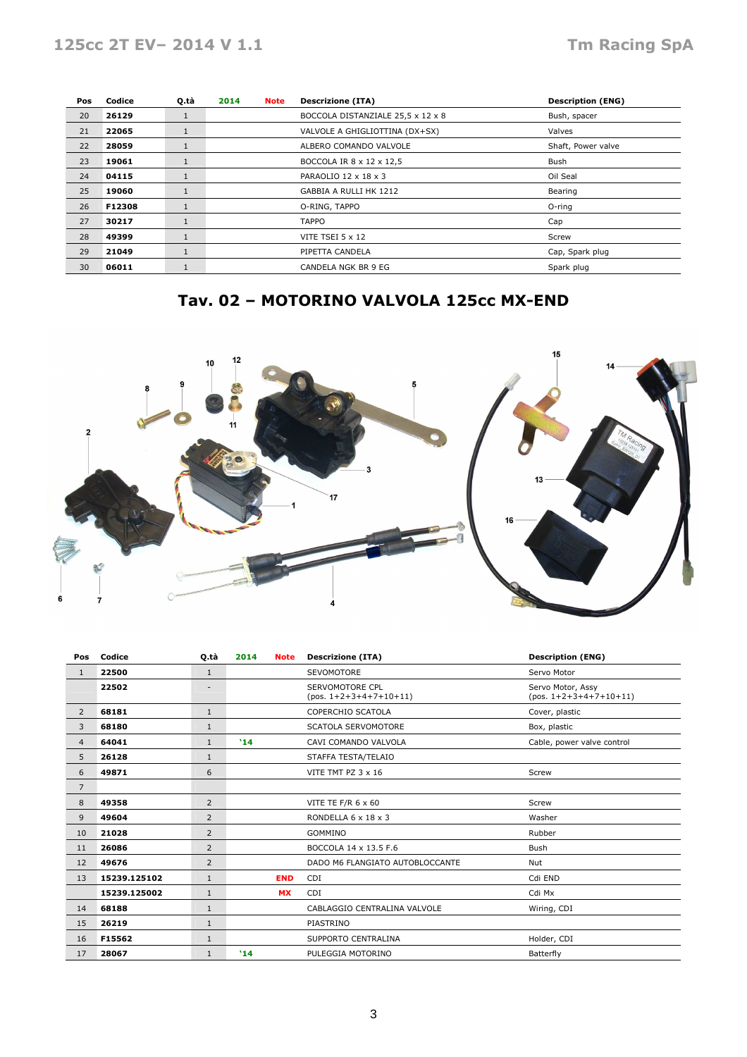| Pos | Codice | Q.tà         | 2014 | <b>Note</b>                                  | <b>Descrizione (ITA)</b>          | <b>Description (ENG)</b> |
|-----|--------|--------------|------|----------------------------------------------|-----------------------------------|--------------------------|
| 20  | 26129  | 1            |      |                                              | BOCCOLA DISTANZIALE 25,5 x 12 x 8 | Bush, spacer             |
| 21  | 22065  | $\mathbf{1}$ |      | VALVOLE A GHIGLIOTTINA (DX+SX)<br>Valves     |                                   |                          |
| 22  | 28059  | $\mathbf{1}$ |      | ALBERO COMANDO VALVOLE<br>Shaft, Power valve |                                   |                          |
| 23  | 19061  | 1            |      | BOCCOLA IR 8 x 12 x 12,5<br>Bush             |                                   |                          |
| 24  | 04115  | 1            |      | PARAOLIO 12 x 18 x 3<br>Oil Seal             |                                   |                          |
| 25  | 19060  | $\mathbf{1}$ |      | GABBIA A RULLI HK 1212<br>Bearing            |                                   |                          |
| 26  | F12308 | $\mathbf{1}$ |      |                                              | O-RING, TAPPO                     | $O$ -ring                |
| 27  | 30217  | 1            |      |                                              | <b>TAPPO</b>                      | Cap                      |
| 28  | 49399  | $\mathbf{1}$ |      | VITE TSEI $5 \times 12$<br>Screw             |                                   |                          |
| 29  | 21049  | $\mathbf{1}$ |      |                                              | PIPETTA CANDELA                   | Cap, Spark plug          |
| 30  | 06011  | 1            |      | Spark plug<br>CANDELA NGK BR 9 EG            |                                   |                          |

# Tav. 02 – MOTORINO VALVOLA 125cc MX-END



| Pos            | Codice       | Q.tà                     | 2014<br><b>Note</b> | <b>Descrizione (ITA)</b>                    | <b>Description (ENG)</b>                      |
|----------------|--------------|--------------------------|---------------------|---------------------------------------------|-----------------------------------------------|
| $\mathbf{1}$   | 22500        | $\mathbf{1}$             |                     | <b>SEVOMOTORE</b>                           | Servo Motor                                   |
|                | 22502        | $\overline{\phantom{a}}$ |                     | SERVOMOTORE CPL<br>$(pos. 1+2+3+4+7+10+11)$ | Servo Motor, Assy<br>$(pos. 1+2+3+4+7+10+11)$ |
| $\overline{2}$ | 68181        | $1\,$                    |                     | COPERCHIO SCATOLA                           | Cover, plastic                                |
| 3              | 68180        | $1\,$                    |                     | SCATOLA SERVOMOTORE                         | Box, plastic                                  |
| 4              | 64041        | $\mathbf{1}$             | 14                  | CAVI COMANDO VALVOLA                        | Cable, power valve control                    |
| 5              | 26128        | $\mathbf{1}$             |                     | STAFFA TESTA/TELAIO                         |                                               |
| 6              | 49871        | 6                        |                     | VITE TMT PZ 3 x 16                          | Screw                                         |
| $\overline{7}$ |              |                          |                     |                                             |                                               |
| 8              | 49358        | 2                        |                     | VITE TE F/R 6 x 60                          | Screw                                         |
| 9              | 49604        | 2                        |                     | RONDELLA 6 x 18 x 3                         | Washer                                        |
| 10             | 21028        | 2                        |                     | GOMMINO                                     | Rubber                                        |
| 11             | 26086        | 2                        |                     | BOCCOLA 14 x 13.5 F.6                       | <b>Bush</b>                                   |
| 12             | 49676        | 2                        |                     | DADO M6 FLANGIATO AUTOBLOCCANTE             | Nut                                           |
| 13             | 15239.125102 | $\mathbf{1}$             | <b>END</b>          | CDI                                         | Cdi END                                       |
|                | 15239.125002 | $\mathbf{1}$             | <b>MX</b>           | CDI                                         | Cdi Mx                                        |
| 14             | 68188        | $\mathbf{1}$             |                     | CABLAGGIO CENTRALINA VALVOLE                | Wiring, CDI                                   |
| 15             | 26219        | $1\,$                    |                     | PIASTRINO                                   |                                               |
| 16             | F15562       | $\mathbf{1}$             |                     | SUPPORTO CENTRALINA                         | Holder, CDI                                   |
| 17             | 28067        | $\mathbf{1}$             | '14                 | PULEGGIA MOTORINO                           | Batterfly                                     |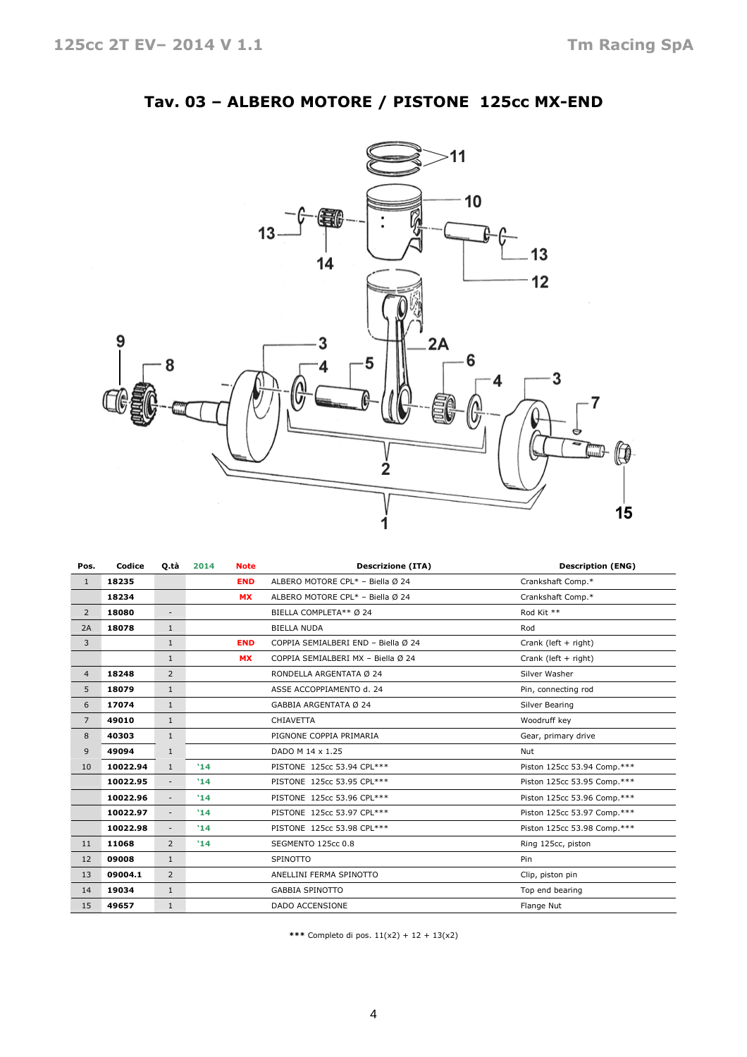

## Tav. 03 – ALBERO MOTORE / PISTONE 125cc MX-END

| Pos.           | Codice   | Q tà                     | 2014       | <b>Note</b>      | <b>Descrizione (ITA)</b>            | <b>Description (ENG)</b>    |
|----------------|----------|--------------------------|------------|------------------|-------------------------------------|-----------------------------|
| $\mathbf{1}$   | 18235    |                          | <b>END</b> |                  | ALBERO MOTORE CPL* - Biella Ø 24    | Crankshaft Comp.*           |
|                | 18234    |                          | <b>MX</b>  |                  | ALBERO MOTORE CPL* - Biella Ø 24    | Crankshaft Comp.*           |
| $\overline{2}$ | 18080    | $\overline{\phantom{a}}$ |            |                  | BIELLA COMPLETA** Ø 24              | Rod Kit **                  |
| 2A             | 18078    | $\mathbf{1}$             |            |                  | <b>BIELLA NUDA</b>                  | Rod                         |
| 3              |          | 1                        |            | <b>END</b>       | COPPIA SEMIALBERI END - Biella Ø 24 | Crank (left + right)        |
|                |          | 1                        |            | <b>MX</b>        | COPPIA SEMIALBERI MX - Biella Ø 24  | Crank (left + right)        |
| $\overline{4}$ | 18248    | 2                        |            |                  | RONDELLA ARGENTATA Ø 24             | Silver Washer               |
| 5              | 18079    | $\mathbf{1}$             |            |                  | ASSE ACCOPPIAMENTO d. 24            | Pin, connecting rod         |
| 6              | 17074    | $\mathbf{1}$             |            |                  | GABBIA ARGENTATA Ø 24               | Silver Bearing              |
| $\overline{7}$ | 49010    | $\mathbf{1}$             |            |                  | <b>CHIAVETTA</b>                    | Woodruff key                |
| 8              | 40303    | $\mathbf{1}$             |            |                  | PIGNONE COPPIA PRIMARIA             | Gear, primary drive         |
| 9              | 49094    | 1                        |            | DADO M 14 x 1.25 |                                     | Nut                         |
| 10             | 10022.94 | $\mathbf{1}$             | '14        |                  | PISTONE 125cc 53.94 CPL***          | Piston 125cc 53.94 Comp.*** |
|                | 10022.95 | $\overline{\phantom{a}}$ | '14        |                  | PISTONE 125cc 53.95 CPL***          | Piston 125cc 53.95 Comp.*** |
|                | 10022.96 | $\overline{\phantom{a}}$ | '14        |                  | PISTONE 125cc 53.96 CPL***          | Piston 125cc 53.96 Comp.*** |
|                | 10022.97 | $\overline{\phantom{a}}$ | '14        |                  | PISTONE 125cc 53.97 CPL***          | Piston 125cc 53.97 Comp.*** |
|                | 10022.98 | $\overline{\phantom{a}}$ | '14        |                  | PISTONE 125cc 53.98 CPL***          | Piston 125cc 53.98 Comp.*** |
| 11             | 11068    | $\overline{2}$           | '14        |                  | SEGMENTO 125cc 0.8                  | Ring 125cc, piston          |
| 12             | 09008    | $\mathbf{1}$             |            |                  | SPINOTTO                            | Pin                         |
| 13             | 09004.1  | 2                        |            |                  | ANELLINI FERMA SPINOTTO             | Clip, piston pin            |
| 14             | 19034    | $\mathbf{1}$             |            |                  | <b>GABBIA SPINOTTO</b>              | Top end bearing             |
| 15             | 49657    | $\mathbf{1}$             |            |                  | <b>DADO ACCENSIONE</b>              | Flange Nut                  |

\*\*\* Completo di pos.  $11(x2) + 12 + 13(x2)$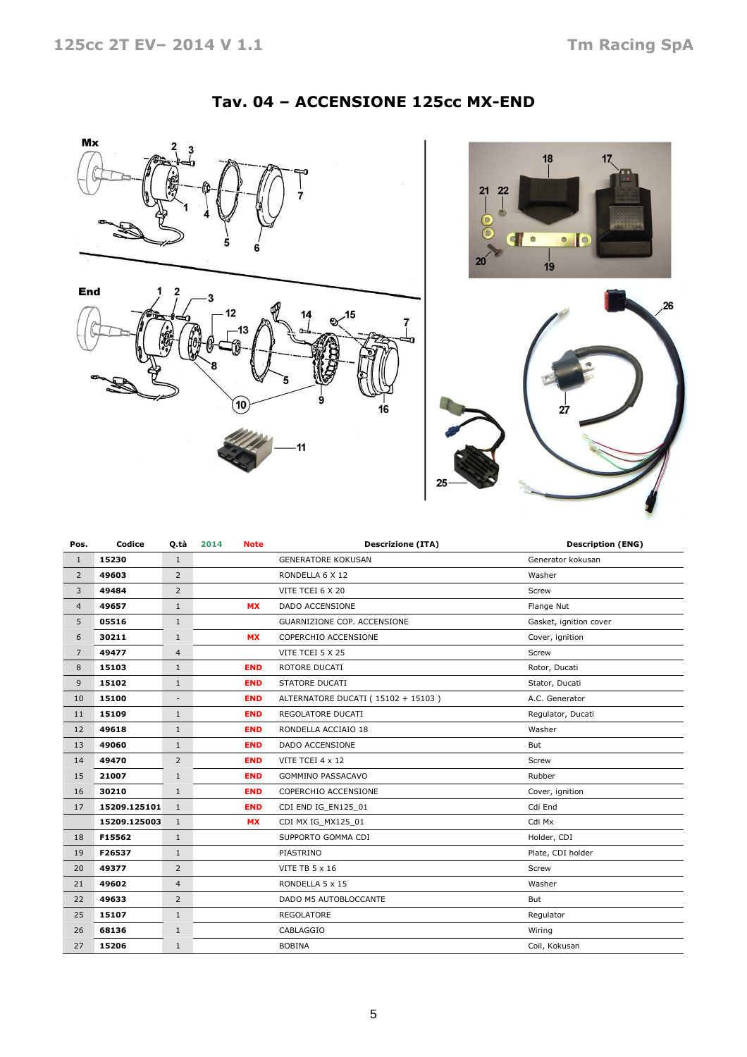#### Tav. 04 – ACCENSIONE 125cc MX-END







| Pos.           | Codice       | Q.tà           | 2014<br><b>Note</b> | <b>Descrizione (ITA)</b>           | <b>Description (ENG)</b> |
|----------------|--------------|----------------|---------------------|------------------------------------|--------------------------|
| $\mathbf{1}$   | 15230        | $\mathbf{1}$   |                     | <b>GENERATORE KOKUSAN</b>          | Generator kokusan        |
| $\overline{2}$ | 49603        | $\overline{2}$ |                     | RONDELLA 6 X 12                    | Washer                   |
| 3              | 49484        | $\overline{2}$ |                     | VITE TCEI 6 X 20                   | Screw                    |
| $\overline{4}$ | 49657        | $\mathbf{1}$   | <b>MX</b>           | <b>DADO ACCENSIONE</b>             | Flange Nut               |
| 5              | 05516        | $\mathbf{1}$   |                     | GUARNIZIONE COP. ACCENSIONE        | Gasket, ignition cover   |
| 6              | 30211        | $\mathbf{1}$   | <b>MX</b>           | COPERCHIO ACCENSIONE               | Cover, ignition          |
| $\overline{7}$ | 49477        | $\overline{4}$ |                     | VITE TCEI 5 X 25                   | Screw                    |
| 8              | 15103        | $\mathbf{1}$   | <b>END</b>          | ROTORE DUCATI                      | Rotor, Ducati            |
| 9              | 15102        | $\mathbf{1}$   | <b>END</b>          | STATORE DUCATI                     | Stator, Ducati           |
| 10             | 15100        |                | <b>END</b>          | ALTERNATORE DUCATI (15102 + 15103) | A.C. Generator           |
| 11             | 15109        | $\mathbf{1}$   | <b>END</b>          | REGOLATORE DUCATI                  | Regulator, Ducati        |
| 12             | 49618        | $\mathbf{1}$   | <b>END</b>          | RONDELLA ACCIAIO 18                | Washer                   |
| 13             | 49060        | $\mathbf{1}$   | <b>END</b>          | DADO ACCENSIONE                    | But                      |
| 14             | 49470        | $\overline{2}$ | <b>END</b>          | VITE TCEI 4 x 12                   | Screw                    |
| 15             | 21007        | $\mathbf{1}$   | <b>END</b>          | <b>GOMMINO PASSACAVO</b>           | Rubber                   |
| 16             | 30210        | $\mathbf{1}$   | <b>END</b>          | COPERCHIO ACCENSIONE               | Cover, ignition          |
| 17             | 15209.125101 | $\mathbf{1}$   | <b>END</b>          | CDI END IG EN125 01                | Cdi End                  |
|                | 15209.125003 | $\mathbf{1}$   | <b>MX</b>           | CDI MX IG_MX125_01                 | Cdi Mx                   |
| 18             | F15562       | $\mathbf{1}$   |                     | SUPPORTO GOMMA CDI                 | Holder, CDI              |
| 19             | F26537       | $\mathbf{1}$   |                     | PIASTRINO                          | Plate, CDI holder        |
| 20             | 49377        | $\overline{2}$ |                     | <b>VITE TB 5 x 16</b>              | Screw                    |
| 21             | 49602        | $\overline{4}$ |                     | RONDELLA 5 x 15                    | Washer                   |
| 22             | 49633        | $\overline{2}$ |                     | DADO M5 AUTOBLOCCANTE              | But                      |
| 25             | 15107        | $\mathbf{1}$   |                     | <b>REGOLATORE</b>                  | Regulator                |
| 26             | 68136        | $\mathbf{1}$   |                     | CABLAGGIO                          | Wiring                   |
| 27             | 15206        | $\mathbf{1}$   |                     | <b>BOBINA</b>                      | Coil, Kokusan            |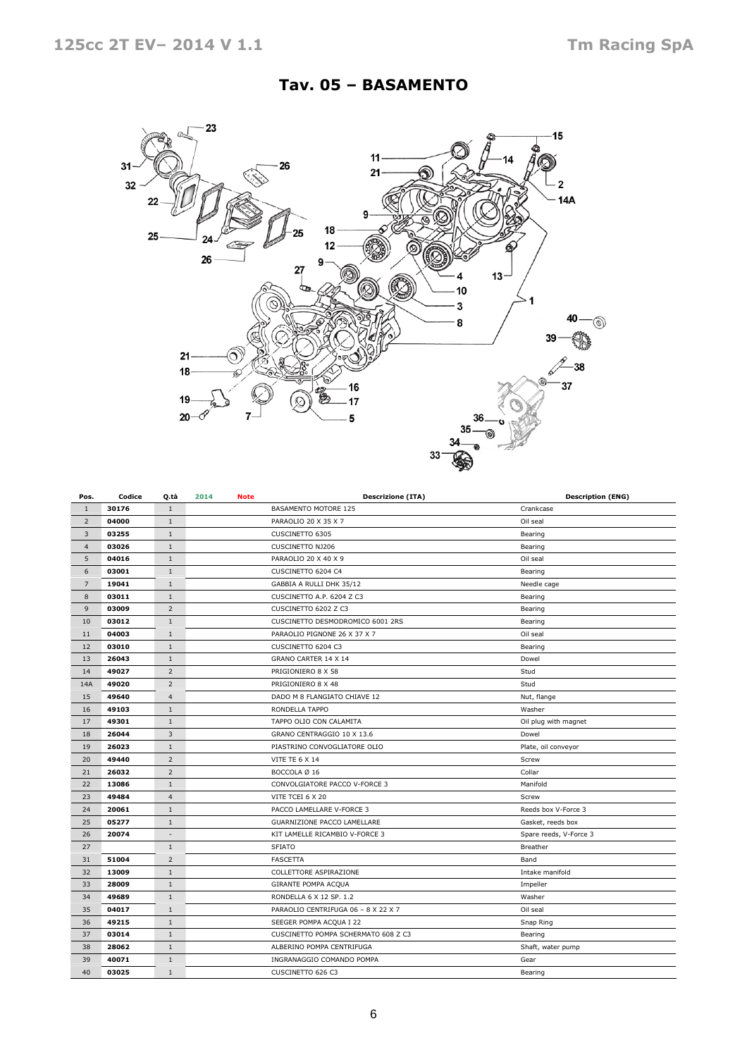## Tav. 05 – BASAMENTO



| Pos.           | Codice | Q.tà                     | 2014<br><b>Note</b> | <b>Descrizione (ITA)</b>            | <b>Description (ENG)</b> |
|----------------|--------|--------------------------|---------------------|-------------------------------------|--------------------------|
| $\mathbf{1}$   | 30176  | $\mathbf{1}$             |                     | BASAMENTO MOTORE 125                | Crankcase                |
| $\overline{2}$ | 04000  | $1\,$                    |                     | PARAOLIO 20 X 35 X 7                | Oil seal                 |
| 3              | 03255  | 1                        |                     | CUSCINETTO 6305                     | Bearing                  |
| $\overline{4}$ | 03026  | $1\,$                    |                     | <b>CUSCINETTO NJ206</b>             | Bearing                  |
| 5              | 04016  | $1\,$                    |                     | PARAOLIO 20 X 40 X 9                | Oil seal                 |
| 6              | 03001  | $1\,$                    |                     | CUSCINETTO 6204 C4                  | Bearing                  |
| $\overline{7}$ | 19041  | $\mathbf{1}$             |                     | GABBIA A RULLI DHK 35/12            | Needle cage              |
| 8              | 03011  | $\mathbf{1}$             |                     | CUSCINETTO A.P. 6204 Z C3           | Bearing                  |
| 9              | 03009  | 2                        |                     | CUSCINETTO 6202 Z C3                | Bearing                  |
| 10             | 03012  | $1\,$                    |                     | CUSCINETTO DESMODROMICO 6001 2RS    | Bearing                  |
| 11             | 04003  | $\mathbf{1}$             |                     | PARAOLIO PIGNONE 26 X 37 X 7        | Oil seal                 |
| 12             | 03010  | $1\,$                    |                     | CUSCINETTO 6204 C3                  | Bearing                  |
| 13             | 26043  | $1\,$                    |                     | GRANO CARTER 14 X 14                | Dowel                    |
| 14             | 49027  | 2                        |                     | PRIGIONIERO 8 X 58                  | Stud                     |
| 14A            | 49020  | $\overline{2}$           |                     | PRIGIONIERO 8 X 48                  | Stud                     |
| 15             | 49640  | $\overline{4}$           |                     | DADO M 8 FLANGIATO CHIAVE 12        | Nut, flange              |
| 16             | 49103  | $1\,$                    |                     | RONDELLA TAPPO                      | Washer                   |
| 17             | 49301  | $1\,$                    |                     | TAPPO OLIO CON CALAMITA             | Oil plug with magnet     |
| 18             | 26044  | 3                        |                     | GRANO CENTRAGGIO 10 X 13.6          | Dowel                    |
| 19             | 26023  | $\mathbf{1}$             |                     | PIASTRINO CONVOGLIATORE OLIO        | Plate, oil conveyor      |
| 20             | 49440  | 2                        |                     | <b>VITE TE 6 X 14</b>               | Screw                    |
| 21             | 26032  | $\overline{2}$           |                     | BOCCOLA Ø 16                        | Collar                   |
| 22             | 13086  | $1\,$                    |                     | CONVOLGIATORE PACCO V-FORCE 3       | Manifold                 |
| 23             | 49484  | $\overline{4}$           |                     | VITE TCEI 6 X 20                    | Screw                    |
| 24             | 20061  | $1\,$                    |                     | PACCO LAMELLARE V-FORCE 3           | Reeds box V-Force 3      |
| 25             | 05277  | $\mathbf{1}$             |                     | GUARNIZIONE PACCO LAMELLARE         | Gasket, reeds box        |
| 26             | 20074  | $\overline{\phantom{a}}$ |                     | KIT LAMELLE RICAMBIO V-FORCE 3      | Spare reeds, V-Force 3   |
| 27             |        | $1\,$                    |                     | <b>SFIATO</b>                       | Breather                 |
| 31             | 51004  | $\overline{2}$           |                     | <b>FASCETTA</b>                     | Band                     |
| 32             | 13009  | $1\,$                    |                     | COLLETTORE ASPIRAZIONE              | Intake manifold          |
| 33             | 28009  | $\mathbf{1}$             |                     | GIRANTE POMPA ACQUA                 | Impeller                 |
| 34             | 49689  | $\mathbf{1}$             |                     | RONDELLA 6 X 12 SP. 1.2             | Washer                   |
| 35             | 04017  | $1\,$                    |                     | PARAOLIO CENTRIFUGA 06 - 8 X 22 X 7 | Oil seal                 |
| 36             | 49215  | $1\,$                    |                     | SEEGER POMPA ACQUA I 22             | Snap Ring                |
| 37             | 03014  | $1\,$                    |                     | CUSCINETTO POMPA SCHERMATO 608 Z C3 | Bearing                  |
| 38             | 28062  | $1\,$                    |                     | ALBERINO POMPA CENTRIFUGA           | Shaft, water pump        |
| 39             | 40071  | $1\,$                    |                     | INGRANAGGIO COMANDO POMPA           | Gear                     |
| 40             | 03025  | $\mathbf{1}$             |                     | CUSCINETTO 626 C3                   | Bearing                  |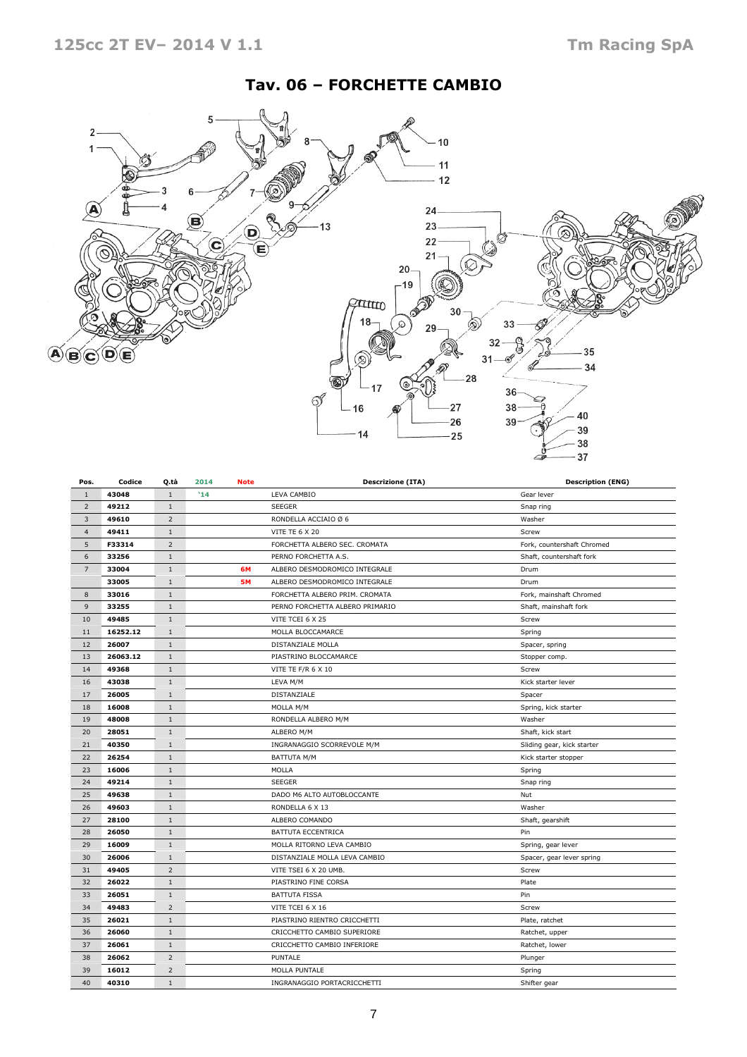## Tav. 06 – FORCHETTE CAMBIO



| Pos.           | Codice   | Q.tà           | 2014<br><b>Note</b> |             | <b>Descrizione (ITA)</b>        | <b>Description (ENG)</b>   |
|----------------|----------|----------------|---------------------|-------------|---------------------------------|----------------------------|
| $\mathbf{1}$   | 43048    | $1\,$          | '14                 |             | LEVA CAMBIO                     | Gear lever                 |
| $\overline{2}$ | 49212    | $\mathbf{1}$   |                     |             | <b>SEEGER</b>                   | Snap ring                  |
| 3              | 49610    | $\overline{2}$ |                     |             | RONDELLA ACCIAIO Ø 6            | Washer                     |
| $\overline{4}$ | 49411    | $1\,$          |                     |             | VITE TE 6 X 20                  | Screw                      |
| 5              | F33314   | $\overline{2}$ |                     |             | FORCHETTA ALBERO SEC. CROMATA   | Fork, countershaft Chromed |
| 6              | 33256    | $1\,$          |                     |             | PERNO FORCHETTA A.S.            | Shaft, countershaft fork   |
| $\overline{7}$ | 33004    | $1\,$          |                     | 6M          | ALBERO DESMODROMICO INTEGRALE   | Drum                       |
|                | 33005    | $\mathbf{1}$   |                     | <b>5M</b>   | ALBERO DESMODROMICO INTEGRALE   | Drum                       |
| 8              | 33016    | $1\,$          |                     |             | FORCHETTA ALBERO PRIM. CROMATA  | Fork, mainshaft Chromed    |
| 9              | 33255    | $1\,$          |                     |             | PERNO FORCHETTA ALBERO PRIMARIO | Shaft, mainshaft fork      |
| 10             | 49485    | $\mathbf{1}$   |                     |             | VITE TCEI 6 X 25                | Screw                      |
| 11             | 16252.12 | $\mathbf{1}$   |                     |             | MOLLA BLOCCAMARCE               | Spring                     |
| 12             | 26007    | $1\,$          |                     |             | DISTANZIALE MOLLA               | Spacer, spring             |
| 13             | 26063.12 | $1\,$          |                     |             | PIASTRINO BLOCCAMARCE           | Stopper comp.              |
| 14             | 49368    | $\mathbf{1}$   |                     |             | VITE TE F/R 6 X 10              | Screw                      |
| 16             | 43038    | $1\,$          |                     |             | LEVA M/M                        | Kick starter lever         |
| 17             | 26005    | $\mathbf{1}$   |                     | DISTANZIALE |                                 | Spacer                     |
| 18             | 16008    | $\mathbf{1}$   |                     |             | MOLLA M/M                       | Spring, kick starter       |
| 19             | 48008    | $\,1\,$        |                     |             | RONDELLA ALBERO M/M             | Washer                     |
| 20             | 28051    | $1\,$          |                     |             | ALBERO M/M                      | Shaft, kick start          |
| 21             | 40350    | $1\,$          |                     |             | INGRANAGGIO SCORREVOLE M/M      | Sliding gear, kick starter |
| 22             | 26254    | $1\,$          |                     |             | <b>BATTUTA M/M</b>              | Kick starter stopper       |
| 23             | 16006    | $\mathbf{1}$   |                     |             | MOLLA                           | Spring                     |
| 24             | 49214    | $1\,$          |                     |             | <b>SEEGER</b>                   | Snap ring                  |
| 25             | 49638    | $1\,$          |                     |             | DADO M6 ALTO AUTOBLOCCANTE      | Nut                        |
| 26             | 49603    | $\mathbf{1}$   |                     |             | RONDELLA 6 X 13                 | Washer                     |
| 27             | 28100    | $\mathbf{1}$   |                     |             | ALBERO COMANDO                  | Shaft, gearshift           |
| 28             | 26050    | $1\,$          |                     |             | BATTUTA ECCENTRICA              | Pin                        |
| 29             | 16009    | $\mathbf{1}$   |                     |             | MOLLA RITORNO LEVA CAMBIO       | Spring, gear lever         |
| 30             | 26006    | $\mathbf{1}$   |                     |             | DISTANZIALE MOLLA LEVA CAMBIO   | Spacer, gear lever spring  |
| 31             | 49405    | $\overline{2}$ |                     |             | VITE TSEI 6 X 20 UMB.           | Screw                      |
| 32             | 26022    | $1\,$          |                     |             | PIASTRINO FINE CORSA            | Plate                      |
| 33             | 26051    | $\mathbf{1}$   |                     |             | <b>BATTUTA FISSA</b>            | Pin                        |
| 34             | 49483    | $\overline{2}$ |                     |             | VITE TCEI 6 X 16                | Screw                      |
| 35             | 26021    | $1\,$          |                     |             | PIASTRINO RIENTRO CRICCHETTI    | Plate, ratchet             |
| 36             | 26060    | $\mathbf{1}$   |                     |             | CRICCHETTO CAMBIO SUPERIORE     | Ratchet, upper             |
| 37             | 26061    | $1\,$          |                     |             | CRICCHETTO CAMBIO INFERIORE     | Ratchet, lower             |
| 38             | 26062    | $\overline{2}$ |                     |             | PUNTALE                         | Plunger                    |
| 39             | 16012    | $\overline{2}$ |                     |             | MOLLA PUNTALE                   | Spring                     |
| 40             | 40310    | $\mathbf{1}$   |                     |             | INGRANAGGIO PORTACRICCHETTI     | Shifter gear               |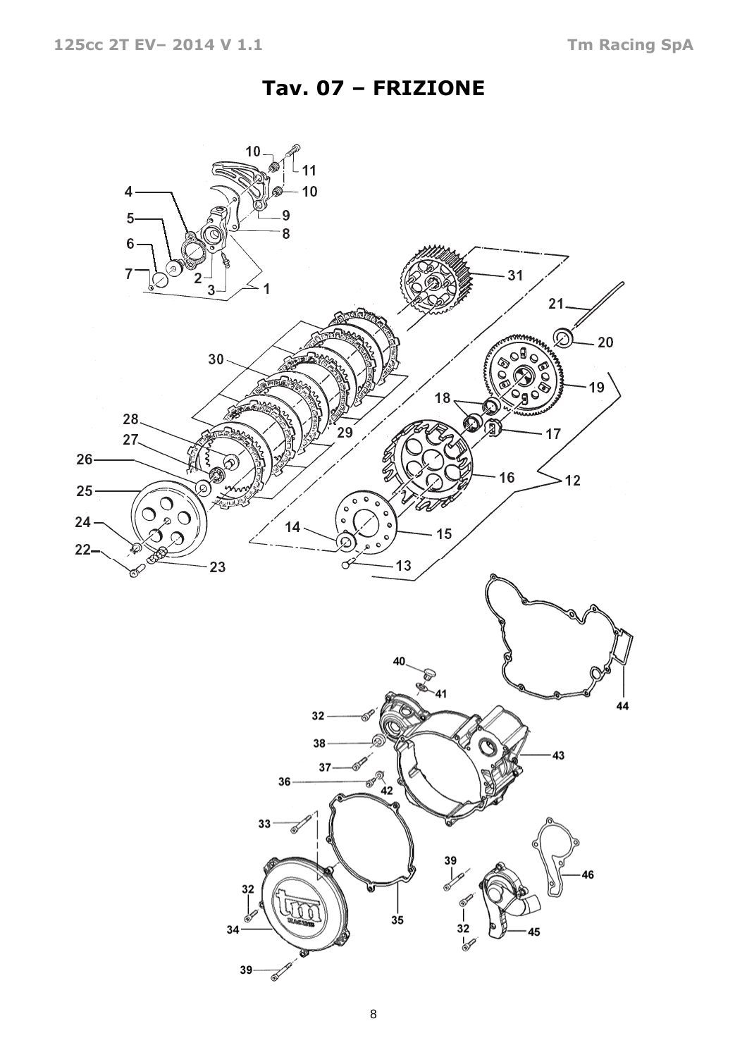# Tav. 07 – FRIZIONE

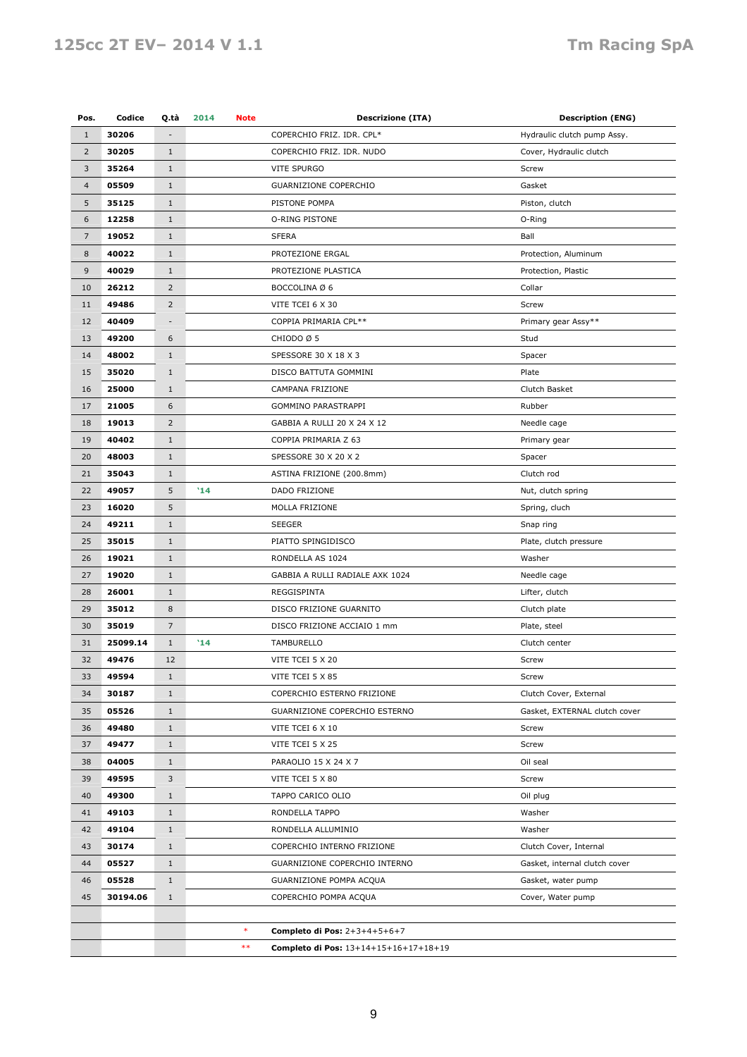## 125cc 2T EV- 2014 V 1.1 Tm Racing SpA

| Pos.           | Codice   | Q.tà                     | 2014<br>Note |        | <b>Descrizione (ITA)</b>              | <b>Description (ENG)</b>      |
|----------------|----------|--------------------------|--------------|--------|---------------------------------------|-------------------------------|
| $\mathbf{1}$   | 30206    |                          |              |        | COPERCHIO FRIZ. IDR. CPL*             | Hydraulic clutch pump Assy.   |
| $\overline{2}$ | 30205    | $\mathbf{1}$             |              |        | COPERCHIO FRIZ. IDR. NUDO             | Cover, Hydraulic clutch       |
| $\mathbf{3}$   | 35264    | $1\,$                    |              |        | VITE SPURGO                           | Screw                         |
| $\overline{4}$ | 05509    | $\mathbf{1}$             |              |        | GUARNIZIONE COPERCHIO                 | Gasket                        |
| 5              | 35125    | $\mathbf{1}$             |              |        | PISTONE POMPA                         | Piston, clutch                |
| 6              | 12258    | $\mathbf{1}$             |              |        | O-RING PISTONE                        | O-Ring                        |
| $\overline{7}$ | 19052    | $1\,$                    |              |        | <b>SFERA</b>                          | Ball                          |
| $\bf 8$        | 40022    | $\mathbf{1}$             |              |        | PROTEZIONE ERGAL                      | Protection, Aluminum          |
| 9              | 40029    | $\mathbf{1}$             |              |        | PROTEZIONE PLASTICA                   | Protection, Plastic           |
| 10             | 26212    | $\overline{2}$           |              |        | BOCCOLINA Ø 6                         | Collar                        |
| 11             | 49486    | $\overline{2}$           |              |        | VITE TCEI 6 X 30                      | Screw                         |
| 12             | 40409    | $\overline{\phantom{m}}$ |              |        | COPPIA PRIMARIA CPL**                 | Primary gear Assy**           |
| 13             | 49200    | 6                        |              |        | CHIODO Ø 5                            | Stud                          |
|                |          |                          |              |        |                                       |                               |
| 14             | 48002    | $1\,$                    |              |        | SPESSORE 30 X 18 X 3                  | Spacer                        |
| 15             | 35020    | $1\,$                    |              |        | DISCO BATTUTA GOMMINI                 | Plate                         |
| 16             | 25000    | $\mathbf{1}$             |              |        | CAMPANA FRIZIONE                      | Clutch Basket                 |
| 17             | 21005    | 6                        |              |        | GOMMINO PARASTRAPPI                   | Rubber                        |
| 18             | 19013    | $\overline{2}$           |              |        | GABBIA A RULLI 20 X 24 X 12           | Needle cage                   |
| 19             | 40402    | $1\,$                    |              |        | COPPIA PRIMARIA Z 63                  | Primary gear                  |
| 20             | 48003    | $\mathbf{1}$             |              |        | SPESSORE 30 X 20 X 2                  | Spacer                        |
| 21             | 35043    | $\mathbf{1}$             |              |        | ASTINA FRIZIONE (200.8mm)             | Clutch rod                    |
| 22             | 49057    | 5                        | '14          |        | DADO FRIZIONE                         | Nut, clutch spring            |
| 23             | 16020    | 5                        |              |        | MOLLA FRIZIONE                        | Spring, cluch                 |
| 24             | 49211    | $1\,$                    |              |        | <b>SEEGER</b>                         | Snap ring                     |
| 25             | 35015    | $\mathbf{1}$             |              |        | PIATTO SPINGIDISCO                    | Plate, clutch pressure        |
| 26             | 19021    | $\mathbf{1}$             |              |        | RONDELLA AS 1024                      | Washer                        |
| 27             | 19020    | $1\,$                    |              |        | GABBIA A RULLI RADIALE AXK 1024       | Needle cage                   |
| 28             | 26001    | $\mathbf{1}$             |              |        | REGGISPINTA                           | Lifter, clutch                |
| 29             | 35012    | 8                        |              |        | DISCO FRIZIONE GUARNITO               | Clutch plate                  |
| 30             | 35019    | 7                        |              |        | DISCO FRIZIONE ACCIAIO 1 mm           | Plate, steel                  |
| 31             | 25099.14 | $\mathbf{1}$             | '14          |        | TAMBURELLO                            | Clutch center                 |
| 32             | 49476    | 12                       |              |        | VITE TCEI 5 X 20                      | Screw                         |
| 33             | 49594    | $\mathbf 1$              |              |        | VITE TCEI 5 X 85                      | Screw                         |
| 34             | 30187    | $\mathbf{1}$             |              |        | COPERCHIO ESTERNO FRIZIONE            | Clutch Cover, External        |
| 35             | 05526    | $\mathbf{1}$             |              |        | GUARNIZIONE COPERCHIO ESTERNO         | Gasket, EXTERNAL clutch cover |
| 36             | 49480    | $\mathbf{1}$             |              |        | VITE TCEI 6 X 10                      | Screw                         |
| 37             | 49477    | $1\,$                    |              |        | VITE TCEI 5 X 25                      | Screw                         |
| 38             | 04005    | $\mathbf{1}$             |              |        | PARAOLIO 15 X 24 X 7                  | Oil seal                      |
| 39             | 49595    | 3                        |              |        | VITE TCEI 5 X 80                      | Screw                         |
| 40             | 49300    | $\mathbf{1}$             |              |        | TAPPO CARICO OLIO                     | Oil plug                      |
| 41             | 49103    | $\mathbf{1}$             |              |        | RONDELLA TAPPO                        | Washer                        |
| 42             | 49104    | $\mathbf{1}$             |              |        | RONDELLA ALLUMINIO                    | Washer                        |
| 43             | 30174    | $\mathbf{1}$             |              |        | COPERCHIO INTERNO FRIZIONE            | Clutch Cover, Internal        |
| 44             | 05527    | $\mathbf{1}$             |              |        | GUARNIZIONE COPERCHIO INTERNO         | Gasket, internal clutch cover |
| 46             | 05528    | $1\,$                    |              |        | GUARNIZIONE POMPA ACQUA               | Gasket, water pump            |
| 45             | 30194.06 | $\mathbf{1}$             |              |        | COPERCHIO POMPA ACQUA                 | Cover, Water pump             |
|                |          |                          |              |        |                                       |                               |
|                |          |                          |              | $\ast$ | Completo di Pos: 2+3+4+5+6+7          |                               |
|                |          |                          |              | $***$  | Completo di Pos: 13+14+15+16+17+18+19 |                               |
|                |          |                          |              |        |                                       |                               |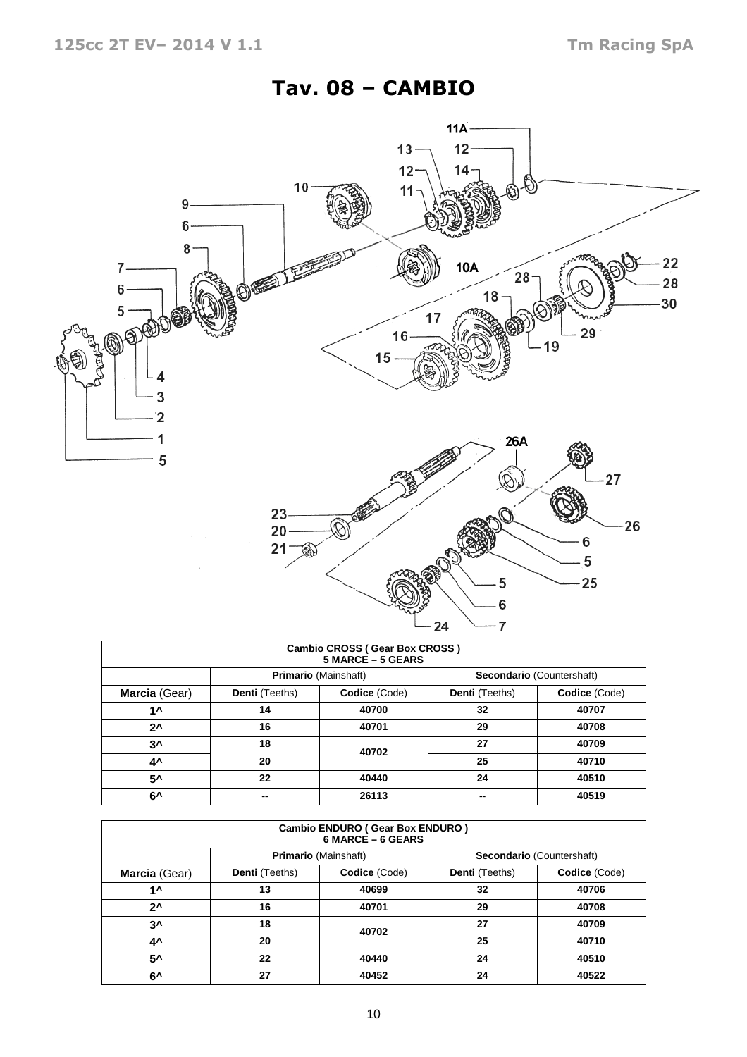# Tav. 08 – CAMBIO



| Cambio CROSS (Gear Box CROSS)<br>5 MARCE - 5 GEARS |                                                          |               |                |               |  |  |  |  |  |  |  |
|----------------------------------------------------|----------------------------------------------------------|---------------|----------------|---------------|--|--|--|--|--|--|--|
|                                                    | <b>Primario (Mainshaft)</b><br>Secondario (Countershaft) |               |                |               |  |  |  |  |  |  |  |
| Marcia (Gear)                                      | Denti (Teeths)                                           | Codice (Code) | Denti (Teeths) | Codice (Code) |  |  |  |  |  |  |  |
| 1 ^                                                | 14                                                       | 40700         | 32             | 40707         |  |  |  |  |  |  |  |
| $2^{\lambda}$                                      | 16                                                       | 40701         | 29             | 40708         |  |  |  |  |  |  |  |
| $3^{\prime}$                                       | 18                                                       | 40702         | 27             | 40709         |  |  |  |  |  |  |  |
| 4^                                                 | 20                                                       |               | 25             | 40710         |  |  |  |  |  |  |  |
| 5^                                                 | 22                                                       | 40440         | 24             | 40510         |  |  |  |  |  |  |  |
| 6^                                                 | --                                                       | 26113         |                | 40519         |  |  |  |  |  |  |  |

| <b>Cambio ENDURO (Gear Box ENDURO)</b><br>6 MARCE - 6 GEARS |                |                                                          |                |               |  |  |  |  |  |  |
|-------------------------------------------------------------|----------------|----------------------------------------------------------|----------------|---------------|--|--|--|--|--|--|
|                                                             |                | <b>Primario (Mainshaft)</b><br>Secondario (Countershaft) |                |               |  |  |  |  |  |  |
| Marcia (Gear)                                               | Denti (Teeths) | Codice (Code)                                            | Denti (Teeths) | Codice (Code) |  |  |  |  |  |  |
| 1 ^                                                         | 13             | 40699                                                    | 32             | 40706         |  |  |  |  |  |  |
| $2^{\lambda}$                                               | 16             | 40701                                                    | 29             | 40708         |  |  |  |  |  |  |
| $3^{\prime}$                                                | 18             | 40702                                                    | 27             | 40709         |  |  |  |  |  |  |
| 4^                                                          | 20             |                                                          | 25             | 40710         |  |  |  |  |  |  |
| $5^{\lambda}$                                               | 22             | 40440                                                    | 24             | 40510         |  |  |  |  |  |  |
| 6^                                                          | 27             | 40452                                                    | 24             | 40522         |  |  |  |  |  |  |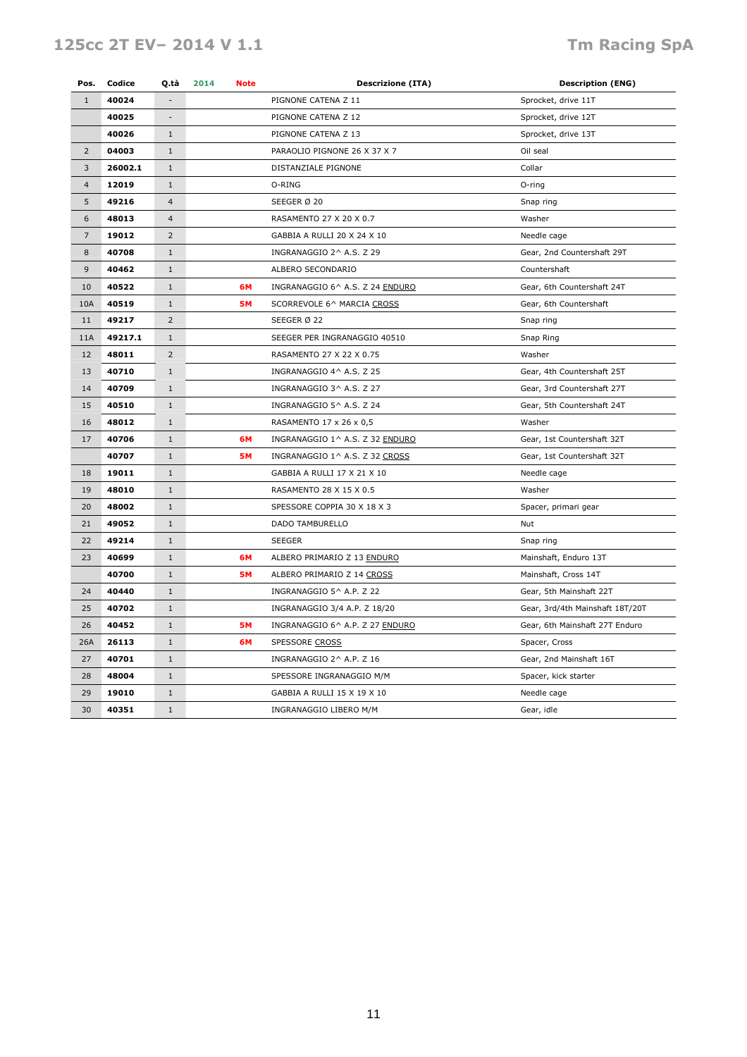## 125cc 2T EV- 2014 V 1.1 Tm Racing SpA

| Pos.           | Codice  | Q.tà                     | 2014<br><b>Note</b> | <b>Descrizione (ITA)</b><br><b>Description (ENG)</b> |                                 |
|----------------|---------|--------------------------|---------------------|------------------------------------------------------|---------------------------------|
| $\mathbf{1}$   | 40024   |                          |                     | PIGNONE CATENA Z 11                                  | Sprocket, drive 11T             |
|                | 40025   | $\overline{\phantom{a}}$ |                     | PIGNONE CATENA Z 12                                  | Sprocket, drive 12T             |
|                | 40026   | $\mathbf{1}$             |                     | PIGNONE CATENA Z 13                                  | Sprocket, drive 13T             |
| $\overline{2}$ | 04003   | $\mathbf{1}$             |                     | PARAOLIO PIGNONE 26 X 37 X 7                         | Oil seal                        |
| $\overline{3}$ | 26002.1 | $\mathbf{1}$             |                     | DISTANZIALE PIGNONE                                  | Collar                          |
| $\overline{4}$ | 12019   | $\mathbf{1}$             |                     | O-RING                                               | O-ring                          |
| 5              | 49216   | $\overline{4}$           |                     | SEEGER Ø 20                                          | Snap ring                       |
| 6              | 48013   | $\overline{\mathbf{4}}$  |                     | RASAMENTO 27 X 20 X 0.7                              | Washer                          |
| $\overline{7}$ | 19012   | $\overline{2}$           |                     | GABBIA A RULLI 20 X 24 X 10                          | Needle cage                     |
| 8              | 40708   | $\mathbf{1}$             |                     | INGRANAGGIO 2^ A.S. Z 29                             | Gear, 2nd Countershaft 29T      |
| 9              | 40462   | $\mathbf{1}$             |                     | ALBERO SECONDARIO                                    | Countershaft                    |
| 10             | 40522   | $1\,$                    | 6M                  | INGRANAGGIO 6^ A.S. Z 24 ENDURO                      | Gear, 6th Countershaft 24T      |
| 10A            | 40519   | $\mathbf{1}$             | <b>5M</b>           | SCORREVOLE 6^ MARCIA CROSS                           | Gear, 6th Countershaft          |
| 11             | 49217   | $\overline{2}$           |                     | SEEGER Ø 22                                          | Snap ring                       |
| 11A            | 49217.1 | $\mathbf{1}$             |                     | SEEGER PER INGRANAGGIO 40510                         | Snap Ring                       |
| 12             | 48011   | $\overline{2}$           |                     | RASAMENTO 27 X 22 X 0.75                             | Washer                          |
| 13             | 40710   | $\mathbf{1}$             |                     | INGRANAGGIO 4^ A.S. Z 25                             | Gear, 4th Countershaft 25T      |
| 14             | 40709   | $\mathbf{1}$             |                     | INGRANAGGIO 3^ A.S. Z 27                             | Gear, 3rd Countershaft 27T      |
| 15             | 40510   | $\mathbf{1}$             |                     | INGRANAGGIO 5^ A.S. Z 24                             | Gear, 5th Countershaft 24T      |
| 16             | 48012   | $\mathbf{1}$             |                     | RASAMENTO 17 x 26 x 0,5                              | Washer                          |
| 17             | 40706   | $\mathbf{1}$             | 6M                  | INGRANAGGIO 1^ A.S. Z 32 ENDURO                      | Gear, 1st Countershaft 32T      |
|                | 40707   | $\mathbf{1}$             | <b>5M</b>           | INGRANAGGIO 1^ A.S. Z 32 CROSS                       | Gear, 1st Countershaft 32T      |
| 18             | 19011   | $\mathbf{1}$             |                     | GABBIA A RULLI 17 X 21 X 10                          | Needle cage                     |
| 19             | 48010   | $\mathbf{1}$             |                     | RASAMENTO 28 X 15 X 0.5                              | Washer                          |
| 20             | 48002   | $1\,$                    |                     | SPESSORE COPPIA 30 X 18 X 3                          | Spacer, primari gear            |
| 21             | 49052   | $\mathbf{1}$             |                     | DADO TAMBURELLO                                      | Nut                             |
| 22             | 49214   | $1\,$                    |                     | SEEGER                                               | Snap ring                       |
| 23             | 40699   | $\mathbf{1}$             | 6M                  | ALBERO PRIMARIO Z 13 ENDURO                          | Mainshaft, Enduro 13T           |
|                | 40700   | $1\,$                    | <b>5M</b>           | ALBERO PRIMARIO Z 14 CROSS                           | Mainshaft, Cross 14T            |
| 24             | 40440   | $\mathbf{1}$             |                     | INGRANAGGIO 5^ A.P. Z 22                             | Gear, 5th Mainshaft 22T         |
| 25             | 40702   | $\mathbf{1}$             |                     | INGRANAGGIO 3/4 A.P. Z 18/20                         | Gear, 3rd/4th Mainshaft 18T/20T |
| 26             | 40452   | $\mathbf{1}$             | <b>5M</b>           | INGRANAGGIO 6^ A.P. Z 27 ENDURO                      | Gear, 6th Mainshaft 27T Enduro  |
| 26A            | 26113   | $\mathbf{1}$             | 6M                  | SPESSORE CROSS                                       | Spacer, Cross                   |
| 27             | 40701   | $\mathbf{1}$             |                     | INGRANAGGIO 2^ A.P. Z 16                             | Gear, 2nd Mainshaft 16T         |
| 28             | 48004   | $\mathbf{1}$             |                     | SPESSORE INGRANAGGIO M/M                             | Spacer, kick starter            |
| 29             | 19010   | $\mathbf{1}$             |                     | GABBIA A RULLI 15 X 19 X 10                          | Needle cage                     |
| 30             | 40351   | $1\,$                    |                     | INGRANAGGIO LIBERO M/M                               | Gear, idle                      |